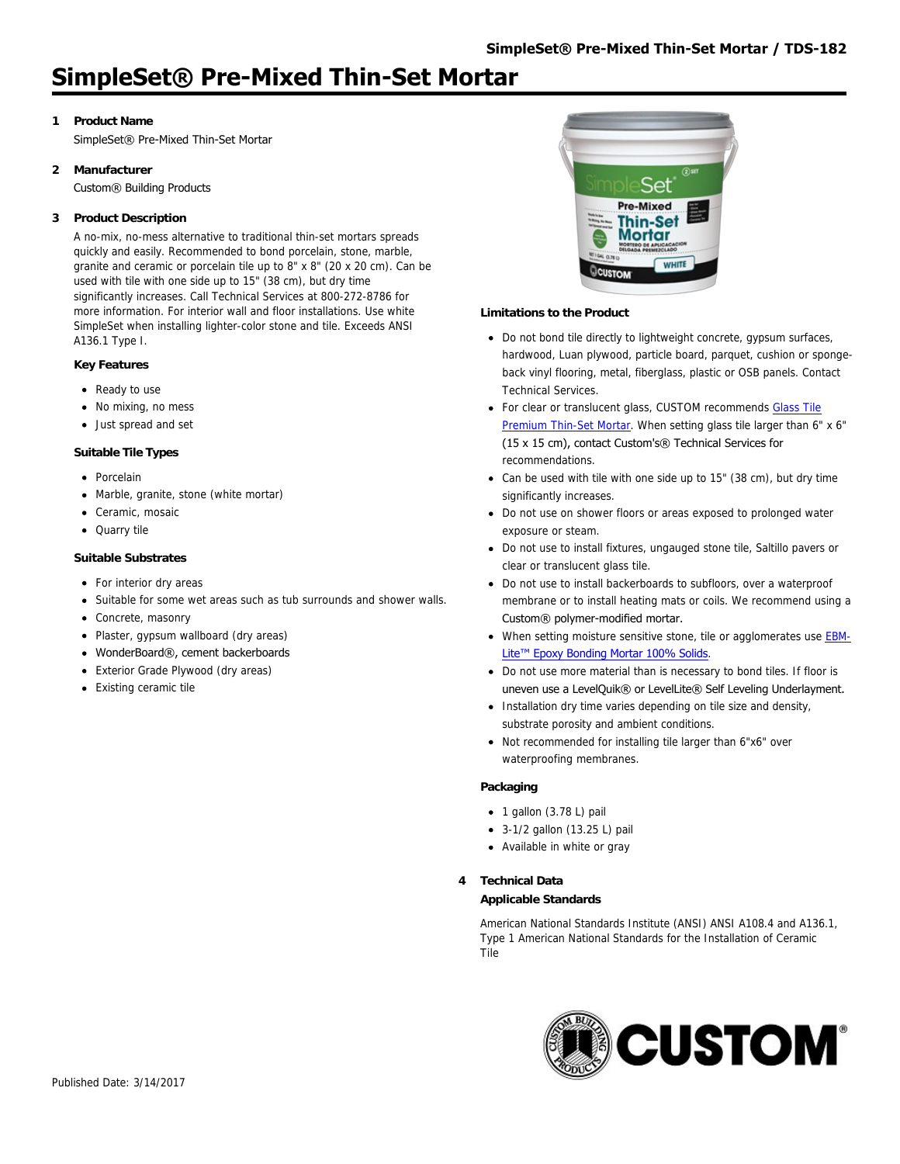# **1 Product Name**

SimpleSet® Pre-Mixed Thin-Set Mortar

# **2 Manufacturer**

Custom® Building Products

# **3 Product Description**

A no-mix, no-mess alternative to traditional thin-set mortars spreads quickly and easily. Recommended to bond porcelain, stone, marble, granite and ceramic or porcelain tile up to 8" x 8" (20 x 20 cm). Can be used with tile with one side up to 15" (38 cm), but dry time significantly increases. Call Technical Services at 800-272-8786 for more information. For interior wall and floor installations. Use white SimpleSet when installing lighter-color stone and tile. Exceeds ANSI A136.1 Type I.

## **Key Features**

- Ready to use
- No mixing, no mess
- Just spread and set

## **Suitable Tile Types**

- Porcelain
- Marble, granite, stone (white mortar)
- Ceramic, mosaic
- Quarry tile

## **Suitable Substrates**

- For interior dry areas
- Suitable for some wet areas such as tub surrounds and shower walls.
- Concrete, masonry
- Plaster, gypsum wallboard (dry areas)
- WonderBoard®, cement backerboards
- Exterior Grade Plywood (dry areas)
- Existing ceramic tile



## **Limitations to the Product**

- Do not bond tile directly to lightweight concrete, gypsum surfaces, hardwood, Luan plywood, particle board, parquet, cushion or spongeback vinyl flooring, metal, fiberglass, plastic or OSB panels. Contact Technical Services.
- [For clear or translucent glass, CUSTOM recommends Glass Tile](http://www.custombuildingproducts.com:80/products/setting-materials/polymer-modified-thin-set-mortars/glass-tile-premium-thin-set-mortar.aspx) Premium Thin-Set Mortar. When setting glass tile larger than 6" x 6" (15 x 15 cm), contact Custom's® Technical Services for recommendations.
- Can be used with tile with one side up to 15" (38 cm), but dry time significantly increases.
- Do not use on shower floors or areas exposed to prolonged water exposure or steam.
- Do not use to install fixtures, ungauged stone tile, Saltillo pavers or clear or translucent glass tile.
- Do not use to install backerboards to subfloors, over a waterproof membrane or to install heating mats or coils. We recommend using a Custom® polymer-modified mortar.
- [When setting moisture sensitive stone, tile or agglomerates use EBM-](http://www.custombuildingproducts.com:80/products/setting-materials/chemical-resistant-epoxy-mortars/ebm-lite-epoxy-bonding-mortar.aspx)Lite<sup>™</sup> Epoxy Bonding Mortar 100% Solids.
- Do not use more material than is necessary to bond tiles. If floor is uneven use a LevelQuik® or LevelLite® Self Leveling Underlayment.
- Installation dry time varies depending on tile size and density, substrate porosity and ambient conditions.
- Not recommended for installing tile larger than 6"x6" over waterproofing membranes.

#### **Packaging**

- $\bullet$  1 gallon (3.78 L) pail
- 3-1/2 gallon (13.25 L) pail
- Available in white or gray

## **4 Technical Data**

#### **Applicable Standards**

American National Standards Institute (ANSI) ANSI A108.4 and A136.1, Type 1 American National Standards for the Installation of Ceramic Tile

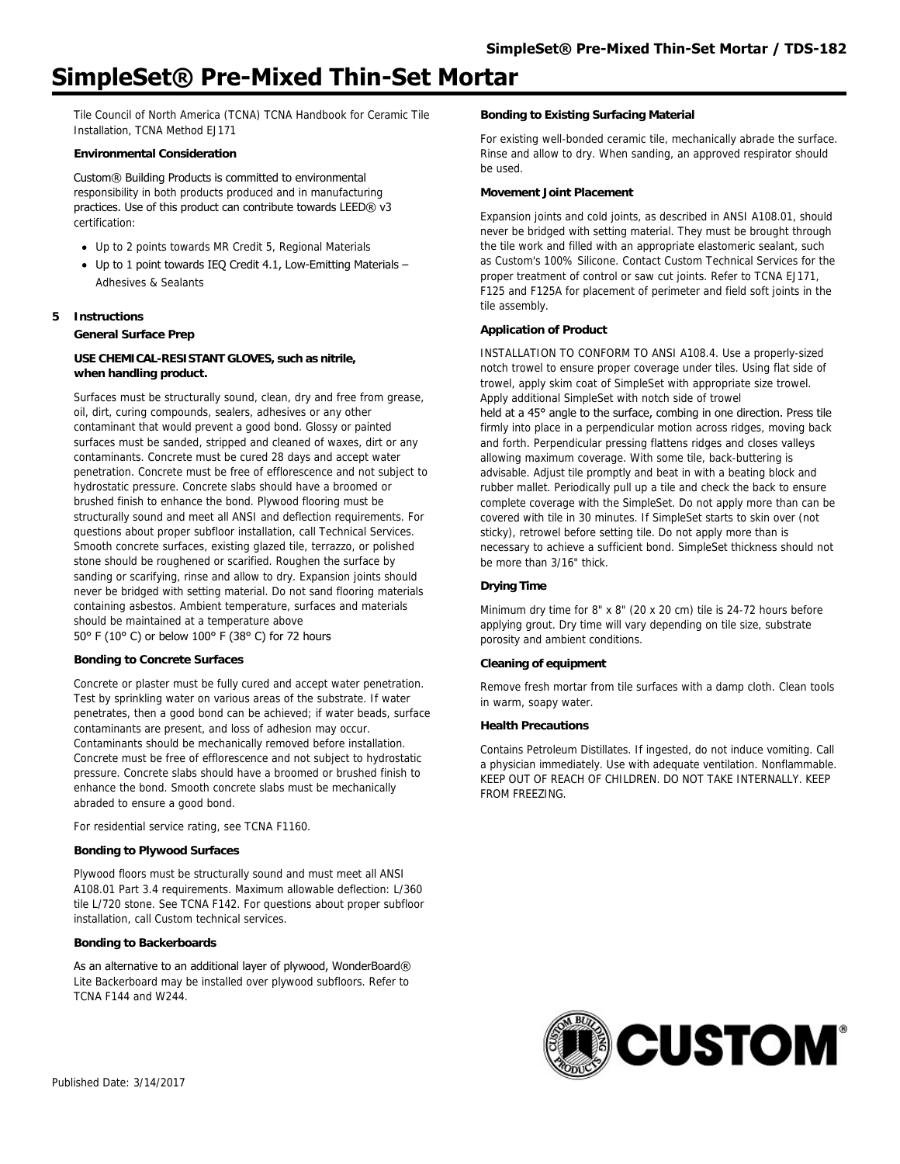Tile Council of North America (TCNA) TCNA Handbook for Ceramic Tile Installation, TCNA Method EJ171

#### **Environmental Consideration**

Custom® Building Products is committed to environmental responsibility in both products produced and in manufacturing practices. Use of this product can contribute towards LEED® v3 certification:

- Up to 2 points towards MR Credit 5, Regional Materials
- $\bullet$  Up to 1 point towards IEQ Credit 4.1, Low-Emitting Materials -Adhesives & Sealants

## **5 Instructions**

**General Surface Prep**

## **USE CHEMICAL-RESISTANT GLOVES, such as nitrile, when handling product.**

Surfaces must be structurally sound, clean, dry and free from grease, oil, dirt, curing compounds, sealers, adhesives or any other contaminant that would prevent a good bond. Glossy or painted surfaces must be sanded, stripped and cleaned of waxes, dirt or any contaminants. Concrete must be cured 28 days and accept water penetration. Concrete must be free of efflorescence and not subject to hydrostatic pressure. Concrete slabs should have a broomed or brushed finish to enhance the bond. Plywood flooring must be structurally sound and meet all ANSI and deflection requirements. For questions about proper subfloor installation, call Technical Services. Smooth concrete surfaces, existing glazed tile, terrazzo, or polished stone should be roughened or scarified. Roughen the surface by sanding or scarifying, rinse and allow to dry. Expansion joints should never be bridged with setting material. Do not sand flooring materials containing asbestos. Ambient temperature, surfaces and materials should be maintained at a temperature above 50° F (10° C) or below 100° F (38° C) for 72 hours

#### **Bonding to Concrete Surfaces**

Concrete or plaster must be fully cured and accept water penetration. Test by sprinkling water on various areas of the substrate. If water penetrates, then a good bond can be achieved; if water beads, surface contaminants are present, and loss of adhesion may occur. Contaminants should be mechanically removed before installation. Concrete must be free of efflorescence and not subject to hydrostatic pressure. Concrete slabs should have a broomed or brushed finish to enhance the bond. Smooth concrete slabs must be mechanically abraded to ensure a good bond.

For residential service rating, see TCNA F1160.

#### **Bonding to Plywood Surfaces**

Plywood floors must be structurally sound and must meet all ANSI A108.01 Part 3.4 requirements. Maximum allowable deflection: L/360 tile L/720 stone. See TCNA F142. For questions about proper subfloor installation, call Custom technical services.

#### **Bonding to Backerboards**

As an alternative to an additional layer of plywood, WonderBoard® Lite Backerboard may be installed over plywood subfloors. Refer to TCNA F144 and W244.

#### **Bonding to Existing Surfacing Material**

For existing well-bonded ceramic tile, mechanically abrade the surface. Rinse and allow to dry. When sanding, an approved respirator should be used.

#### **Movement Joint Placement**

Expansion joints and cold joints, as described in ANSI A108.01, should never be bridged with setting material. They must be brought through the tile work and filled with an appropriate elastomeric sealant, such as Custom's 100% Silicone. Contact Custom Technical Services for the proper treatment of control or saw cut joints. Refer to TCNA EJ171, F125 and F125A for placement of perimeter and field soft joints in the tile assembly.

### **Application of Product**

INSTALLATION TO CONFORM TO ANSI A108.4. Use a properly-sized notch trowel to ensure proper coverage under tiles. Using flat side of trowel, apply skim coat of SimpleSet with appropriate size trowel. Apply additional SimpleSet with notch side of trowel held at a 45° angle to the surface, combing in one direction. Press tile firmly into place in a perpendicular motion across ridges, moving back and forth. Perpendicular pressing flattens ridges and closes valleys allowing maximum coverage. With some tile, back-buttering is advisable. Adjust tile promptly and beat in with a beating block and rubber mallet. Periodically pull up a tile and check the back to ensure complete coverage with the SimpleSet. Do not apply more than can be covered with tile in 30 minutes. If SimpleSet starts to skin over (not sticky), retrowel before setting tile. Do not apply more than is necessary to achieve a sufficient bond. SimpleSet thickness should not be more than 3/16" thick.

### **Drying Time**

Minimum dry time for 8" x 8" (20 x 20 cm) tile is 24-72 hours before applying grout. Dry time will vary depending on tile size, substrate porosity and ambient conditions.

#### **Cleaning of equipment**

Remove fresh mortar from tile surfaces with a damp cloth. Clean tools in warm, soapy water.

## **Health Precautions**

Contains Petroleum Distillates. If ingested, do not induce vomiting. Call a physician immediately. Use with adequate ventilation. Nonflammable. KEEP OUT OF REACH OF CHILDREN. DO NOT TAKE INTERNALLY. KEEP FROM FREEZING.

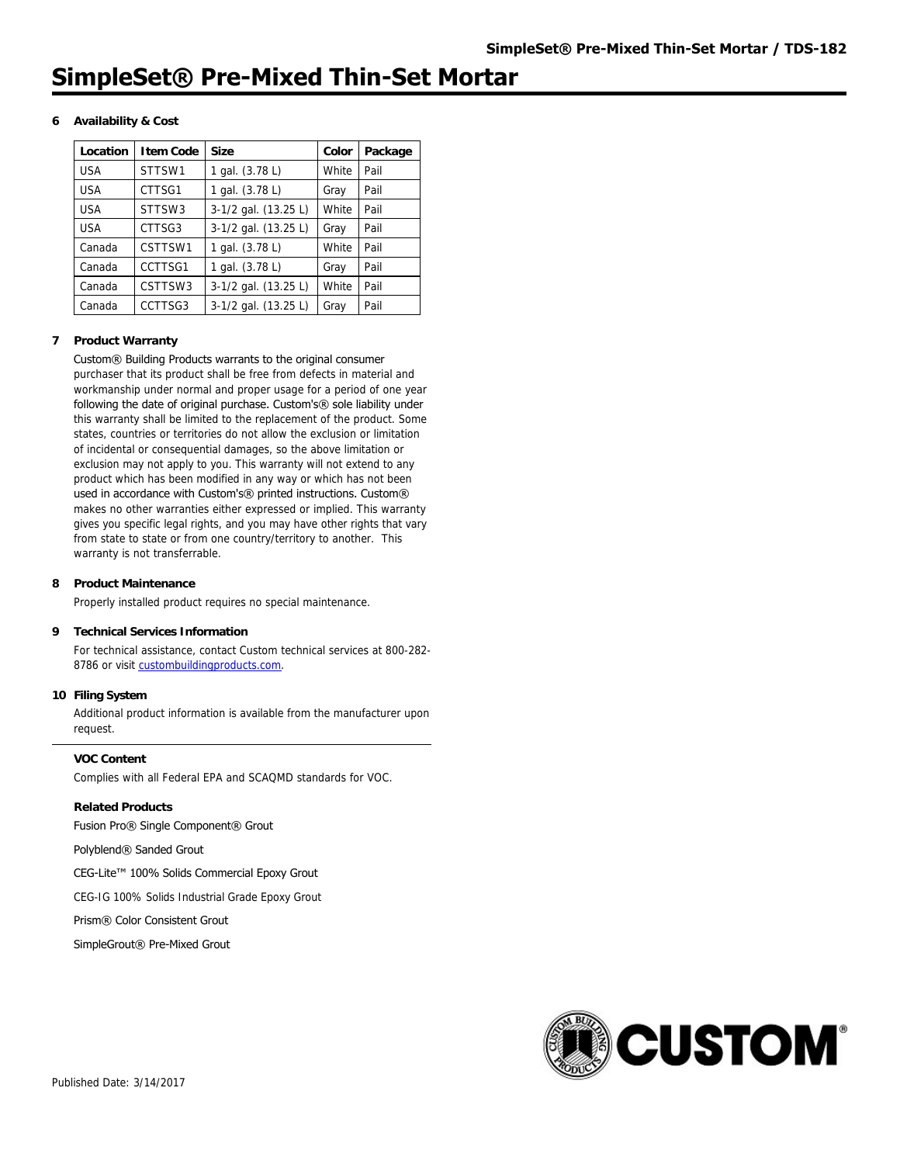## **6 Availability & Cost**

| Location   | I tem Code | <b>Size</b>          | Color | Package |
|------------|------------|----------------------|-------|---------|
| <b>USA</b> | STTSW1     | 1 gal. (3.78 L)      | White | Pail    |
| <b>USA</b> | CTTSG1     | 1 gal. (3.78 L)      | Gray  | Pail    |
| <b>USA</b> | STTSW3     | 3-1/2 gal. (13.25 L) | White | Pail    |
| <b>USA</b> | CTTSG3     | 3-1/2 gal. (13.25 L) | Gray  | Pail    |
| Canada     | CSTTSW1    | 1 gal. (3.78 L)      | White | Pail    |
| Canada     | CCTTSG1    | 1 gal. (3.78 L)      | Gray  | Pail    |
| Canada     | CSTTSW3    | 3-1/2 gal. (13.25 L) | White | Pail    |
| Canada     | CCTTSG3    | 3-1/2 gal. (13.25 L) | Gray  | Pail    |

#### **7 Product Warranty**

#### Custom® Building Products warrants to the original consumer purchaser that its product shall be free from defects in material and

workmanship under normal and proper usage for a period of one year following the date of original purchase. Custom's® sole liability under this warranty shall be limited to the replacement of the product. Some states, countries or territories do not allow the exclusion or limitation of incidental or consequential damages, so the above limitation or exclusion may not apply to you. This warranty will not extend to any product which has been modified in any way or which has not been used in accordance with Custom's® printed instructions. Custom® makes no other warranties either expressed or implied. This warranty gives you specific legal rights, and you may have other rights that vary from state to state or from one country/territory to another. This warranty is not transferrable.

#### **8 Product Maintenance**

Properly installed product requires no special maintenance.

#### **9 Technical Services Information**

For technical assistance, contact Custom technical services at 800-282- 8786 or visit [custombuildingproducts.com](http://www.custombuildingproducts.com:80/support/contact-us.aspx).

#### **10 Filing System**

Additional product information is available from the manufacturer upon request.

#### **VOC Content**

Complies with all Federal EPA and SCAQMD standards for VOC.

**Related Products** Fusion Pro® Single Component® Grout

Polyblend® Sanded Grout

CEG-Lite™ 100% Solids Commercial Epoxy Grout

CEG-IG 100% Solids Industrial Grade Epoxy Grout

Prism® Color Consistent Grout

SimpleGrout® Pre-Mixed Grout